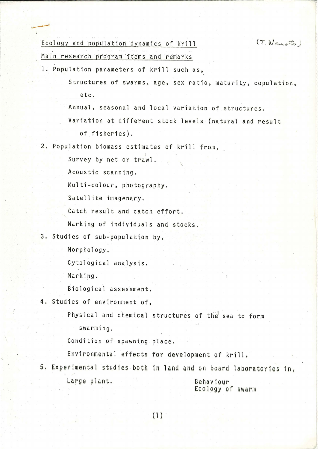## Ecology and population dynamics of krill

 $(T.$  Nemoto)

Main research program items and remarks

1. Population parameters of krill such as,

Structures of swarms, age, sex ratio, maturity, copulation, etc.

Annual, seasonal and local variation of structures.

Variation at different stock levels (natural and result of fisheries).

2. Population biomass estimates of kri11 from,

Survey by net or trawl.

Acoustic scanning.

Multi-colour, photography.

Satellite imagenary.

Catch result and catch effort.

Marking of individuals and stocks.

3. Studies of sub-population by,

Morphology.

Cytological analysis.

Marking.

 $\ddot{\phantom{1}}$ 

Biological assessment.

4. Studies of environment of,

Physical and chemical structures of the sea to form swarming.

Condition of spawning place.

Environmental effects for development of krill .

5. Experi mental studies both in land and on board laboratories in, Large plant. 6ehavioyr

Ecology of swarm